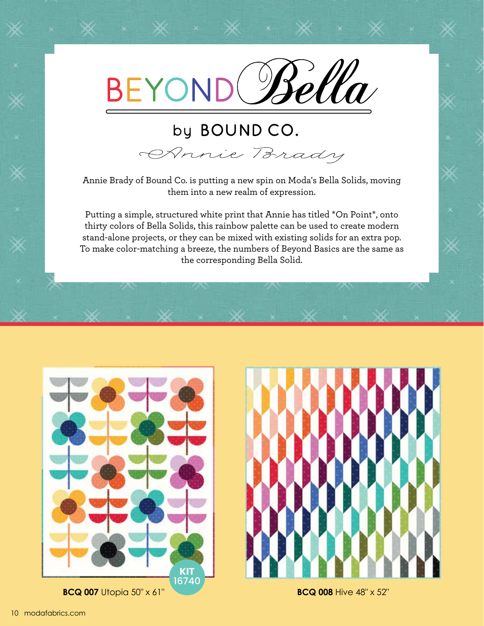

## by BOUND CO.

OPnnie Brady

Annie Brady of Bound Co. is putting a new spin on Moda's Bella Solids, moving them into a new realm of expression.

Putting a simple, structured white print that Annie has titled \*On Point\*, onto thirty colors of Bella Solids, this rainbow palette can be used to create modern stand-alone projects, or they can be mixed with existing solids for an extra pop. To make color-matching a breeze, the numbers of Beyond Basics are the same as the corresponding Bella Solid.



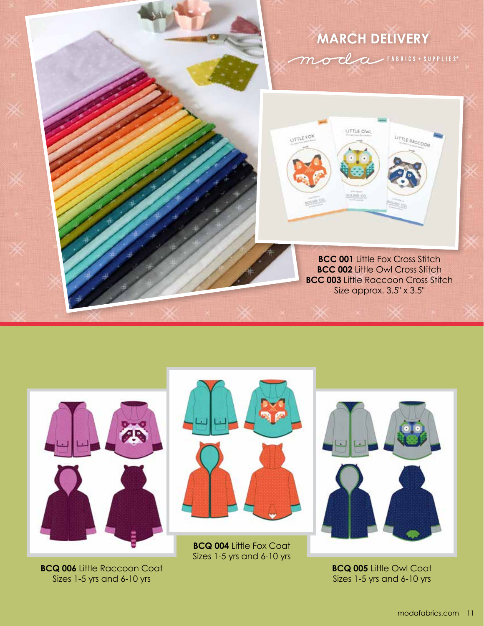



**BCQ 006 Little Raccoon Coat** Sizes 1-5 yrs and 6-10 yrs



**BCQ 004** Little Fox Coat Sizes 1-5 yrs and 6-10 yrs



**BCQ 005** Little Owl Coat Sizes 1-5 yrs and 6-10 yrs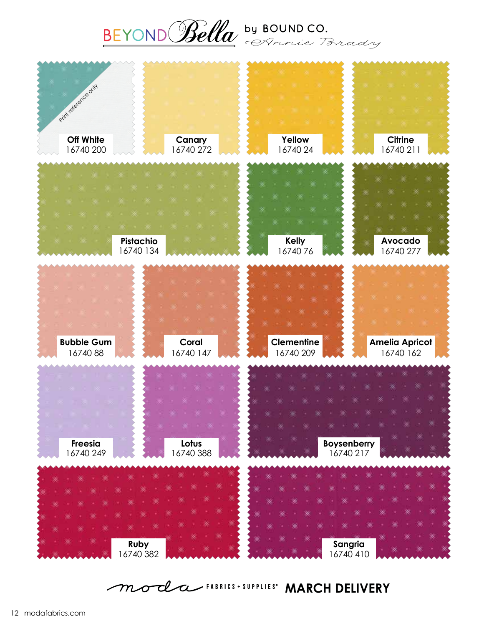



moda FABRICS + SUPPLIES" **MARCH DELIVERY**